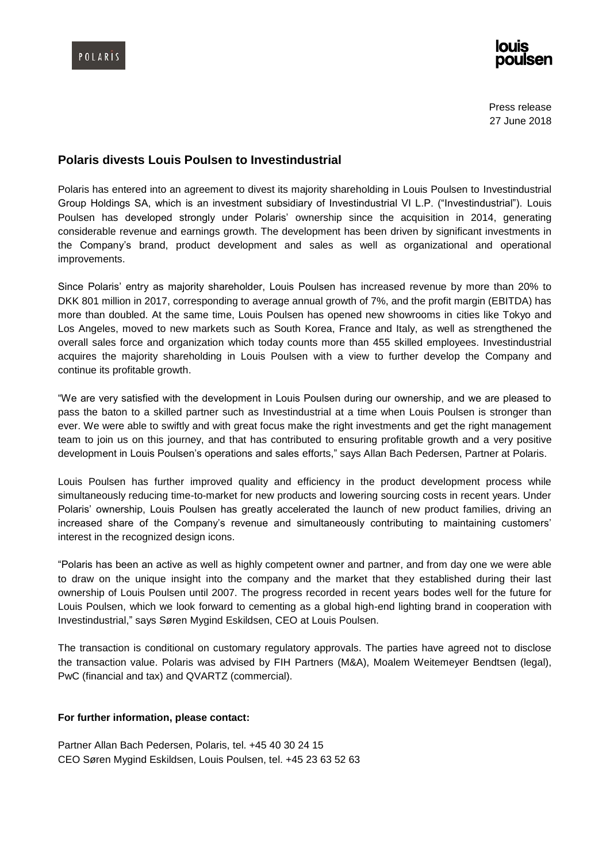



Press release 27 June 2018

## **Polaris divests Louis Poulsen to Investindustrial**

Polaris has entered into an agreement to divest its majority shareholding in Louis Poulsen to Investindustrial Group Holdings SA, which is an investment subsidiary of Investindustrial VI L.P. ("Investindustrial"). Louis Poulsen has developed strongly under Polaris' ownership since the acquisition in 2014, generating considerable revenue and earnings growth. The development has been driven by significant investments in the Company's brand, product development and sales as well as organizational and operational improvements.

Since Polaris' entry as majority shareholder, Louis Poulsen has increased revenue by more than 20% to DKK 801 million in 2017, corresponding to average annual growth of 7%, and the profit margin (EBITDA) has more than doubled. At the same time, Louis Poulsen has opened new showrooms in cities like Tokyo and Los Angeles, moved to new markets such as South Korea, France and Italy, as well as strengthened the overall sales force and organization which today counts more than 455 skilled employees. Investindustrial acquires the majority shareholding in Louis Poulsen with a view to further develop the Company and continue its profitable growth.

"We are very satisfied with the development in Louis Poulsen during our ownership, and we are pleased to pass the baton to a skilled partner such as Investindustrial at a time when Louis Poulsen is stronger than ever. We were able to swiftly and with great focus make the right investments and get the right management team to join us on this journey, and that has contributed to ensuring profitable growth and a very positive development in Louis Poulsen's operations and sales efforts," says Allan Bach Pedersen, Partner at Polaris.

Louis Poulsen has further improved quality and efficiency in the product development process while simultaneously reducing time-to-market for new products and lowering sourcing costs in recent years. Under Polaris' ownership, Louis Poulsen has greatly accelerated the launch of new product families, driving an increased share of the Company's revenue and simultaneously contributing to maintaining customers' interest in the recognized design icons.

"Polaris has been an active as well as highly competent owner and partner, and from day one we were able to draw on the unique insight into the company and the market that they established during their last ownership of Louis Poulsen until 2007. The progress recorded in recent years bodes well for the future for Louis Poulsen, which we look forward to cementing as a global high-end lighting brand in cooperation with Investindustrial," says Søren Mygind Eskildsen, CEO at Louis Poulsen.

The transaction is conditional on customary regulatory approvals. The parties have agreed not to disclose the transaction value. Polaris was advised by FIH Partners (M&A), Moalem Weitemeyer Bendtsen (legal), PwC (financial and tax) and QVARTZ (commercial).

## **For further information, please contact:**

Partner Allan Bach Pedersen, Polaris, tel. +45 40 30 24 15 CEO Søren Mygind Eskildsen, Louis Poulsen, tel. +45 23 63 52 63